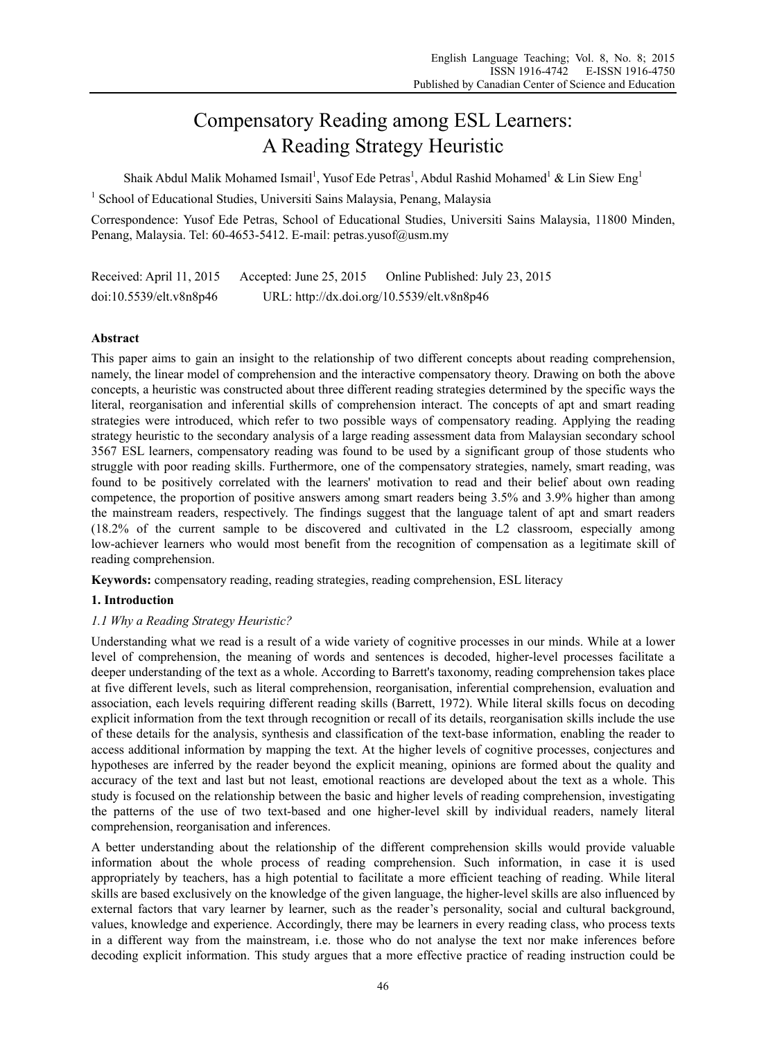# Compensatory Reading among ESL Learners: A Reading Strategy Heuristic

Shaik Abdul Malik Mohamed Ismail<sup>1</sup>, Yusof Ede Petras<sup>1</sup>, Abdul Rashid Mohamed<sup>1</sup> & Lin Siew Eng<sup>1</sup>

<sup>1</sup> School of Educational Studies, Universiti Sains Malaysia, Penang, Malaysia

Correspondence: Yusof Ede Petras, School of Educational Studies, Universiti Sains Malaysia, 11800 Minden, Penang, Malaysia. Tel: 60-4653-5412. E-mail: petras.yusof@usm.my

Received: April 11, 2015 Accepted: June 25, 2015 Online Published: July 23, 2015 doi:10.5539/elt.v8n8p46 URL: http://dx.doi.org/10.5539/elt.v8n8p46

## **Abstract**

This paper aims to gain an insight to the relationship of two different concepts about reading comprehension, namely, the linear model of comprehension and the interactive compensatory theory. Drawing on both the above concepts, a heuristic was constructed about three different reading strategies determined by the specific ways the literal, reorganisation and inferential skills of comprehension interact. The concepts of apt and smart reading strategies were introduced, which refer to two possible ways of compensatory reading. Applying the reading strategy heuristic to the secondary analysis of a large reading assessment data from Malaysian secondary school 3567 ESL learners, compensatory reading was found to be used by a significant group of those students who struggle with poor reading skills. Furthermore, one of the compensatory strategies, namely, smart reading, was found to be positively correlated with the learners' motivation to read and their belief about own reading competence, the proportion of positive answers among smart readers being 3.5% and 3.9% higher than among the mainstream readers, respectively. The findings suggest that the language talent of apt and smart readers (18.2% of the current sample to be discovered and cultivated in the L2 classroom, especially among low-achiever learners who would most benefit from the recognition of compensation as a legitimate skill of reading comprehension.

**Keywords:** compensatory reading, reading strategies, reading comprehension, ESL literacy

## **1. Introduction**

#### *1.1 Why a Reading Strategy Heuristic?*

Understanding what we read is a result of a wide variety of cognitive processes in our minds. While at a lower level of comprehension, the meaning of words and sentences is decoded, higher-level processes facilitate a deeper understanding of the text as a whole. According to Barrett's taxonomy, reading comprehension takes place at five different levels, such as literal comprehension, reorganisation, inferential comprehension, evaluation and association, each levels requiring different reading skills (Barrett, 1972). While literal skills focus on decoding explicit information from the text through recognition or recall of its details, reorganisation skills include the use of these details for the analysis, synthesis and classification of the text-base information, enabling the reader to access additional information by mapping the text. At the higher levels of cognitive processes, conjectures and hypotheses are inferred by the reader beyond the explicit meaning, opinions are formed about the quality and accuracy of the text and last but not least, emotional reactions are developed about the text as a whole. This study is focused on the relationship between the basic and higher levels of reading comprehension, investigating the patterns of the use of two text-based and one higher-level skill by individual readers, namely literal comprehension, reorganisation and inferences.

A better understanding about the relationship of the different comprehension skills would provide valuable information about the whole process of reading comprehension. Such information, in case it is used appropriately by teachers, has a high potential to facilitate a more efficient teaching of reading. While literal skills are based exclusively on the knowledge of the given language, the higher-level skills are also influenced by external factors that vary learner by learner, such as the reader's personality, social and cultural background, values, knowledge and experience. Accordingly, there may be learners in every reading class, who process texts in a different way from the mainstream, i.e. those who do not analyse the text nor make inferences before decoding explicit information. This study argues that a more effective practice of reading instruction could be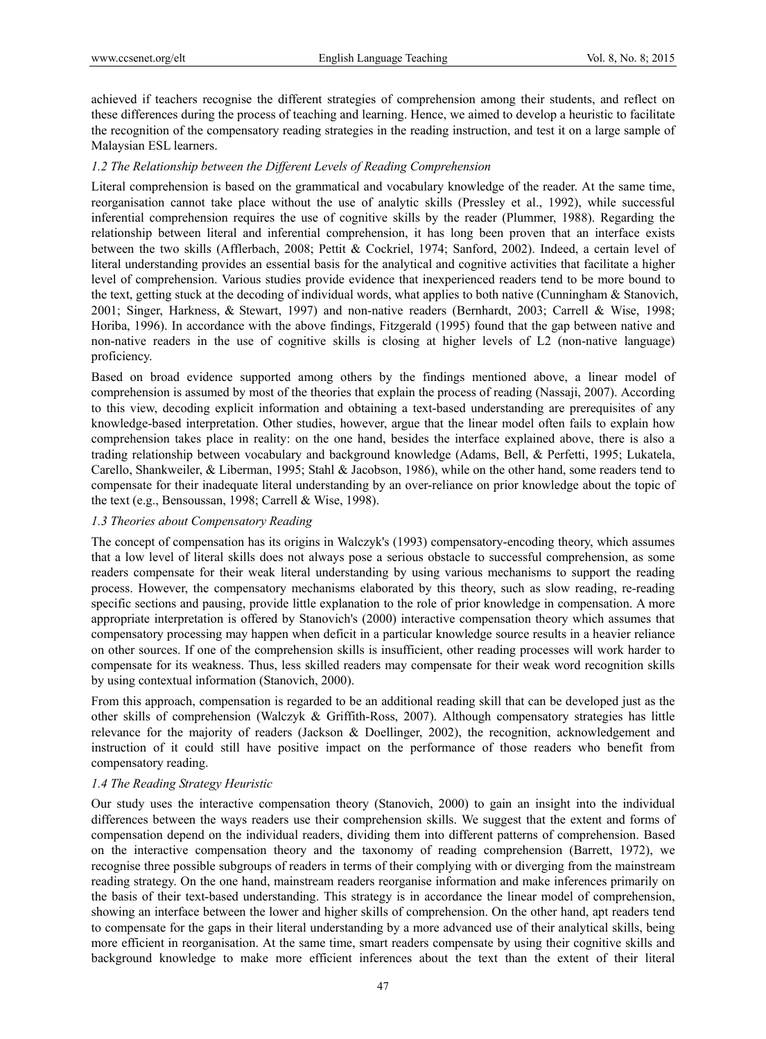achieved if teachers recognise the different strategies of comprehension among their students, and reflect on these differences during the process of teaching and learning. Hence, we aimed to develop a heuristic to facilitate the recognition of the compensatory reading strategies in the reading instruction, and test it on a large sample of Malaysian ESL learners.

#### *1.2 The Relationship between the Different Levels of Reading Comprehension*

Literal comprehension is based on the grammatical and vocabulary knowledge of the reader. At the same time, reorganisation cannot take place without the use of analytic skills (Pressley et al., 1992), while successful inferential comprehension requires the use of cognitive skills by the reader (Plummer, 1988). Regarding the relationship between literal and inferential comprehension, it has long been proven that an interface exists between the two skills (Afflerbach, 2008; Pettit & Cockriel, 1974; Sanford, 2002). Indeed, a certain level of literal understanding provides an essential basis for the analytical and cognitive activities that facilitate a higher level of comprehension. Various studies provide evidence that inexperienced readers tend to be more bound to the text, getting stuck at the decoding of individual words, what applies to both native (Cunningham & Stanovich, 2001; Singer, Harkness, & Stewart, 1997) and non-native readers (Bernhardt, 2003; Carrell & Wise, 1998; Horiba, 1996). In accordance with the above findings, Fitzgerald (1995) found that the gap between native and non-native readers in the use of cognitive skills is closing at higher levels of L2 (non-native language) proficiency.

Based on broad evidence supported among others by the findings mentioned above, a linear model of comprehension is assumed by most of the theories that explain the process of reading (Nassaji, 2007). According to this view, decoding explicit information and obtaining a text-based understanding are prerequisites of any knowledge-based interpretation. Other studies, however, argue that the linear model often fails to explain how comprehension takes place in reality: on the one hand, besides the interface explained above, there is also a trading relationship between vocabulary and background knowledge (Adams, Bell, & Perfetti, 1995; Lukatela, Carello, Shankweiler, & Liberman, 1995; Stahl & Jacobson, 1986), while on the other hand, some readers tend to compensate for their inadequate literal understanding by an over-reliance on prior knowledge about the topic of the text (e.g., Bensoussan, 1998; Carrell & Wise, 1998).

#### *1.3 Theories about Compensatory Reading*

The concept of compensation has its origins in Walczyk's (1993) compensatory-encoding theory, which assumes that a low level of literal skills does not always pose a serious obstacle to successful comprehension, as some readers compensate for their weak literal understanding by using various mechanisms to support the reading process. However, the compensatory mechanisms elaborated by this theory, such as slow reading, re-reading specific sections and pausing, provide little explanation to the role of prior knowledge in compensation. A more appropriate interpretation is offered by Stanovich's (2000) interactive compensation theory which assumes that compensatory processing may happen when deficit in a particular knowledge source results in a heavier reliance on other sources. If one of the comprehension skills is insufficient, other reading processes will work harder to compensate for its weakness. Thus, less skilled readers may compensate for their weak word recognition skills by using contextual information (Stanovich, 2000).

From this approach, compensation is regarded to be an additional reading skill that can be developed just as the other skills of comprehension (Walczyk & Griffith-Ross, 2007). Although compensatory strategies has little relevance for the majority of readers (Jackson & Doellinger, 2002), the recognition, acknowledgement and instruction of it could still have positive impact on the performance of those readers who benefit from compensatory reading.

#### *1.4 The Reading Strategy Heuristic*

Our study uses the interactive compensation theory (Stanovich, 2000) to gain an insight into the individual differences between the ways readers use their comprehension skills. We suggest that the extent and forms of compensation depend on the individual readers, dividing them into different patterns of comprehension. Based on the interactive compensation theory and the taxonomy of reading comprehension (Barrett, 1972), we recognise three possible subgroups of readers in terms of their complying with or diverging from the mainstream reading strategy. On the one hand, mainstream readers reorganise information and make inferences primarily on the basis of their text-based understanding. This strategy is in accordance the linear model of comprehension, showing an interface between the lower and higher skills of comprehension. On the other hand, apt readers tend to compensate for the gaps in their literal understanding by a more advanced use of their analytical skills, being more efficient in reorganisation. At the same time, smart readers compensate by using their cognitive skills and background knowledge to make more efficient inferences about the text than the extent of their literal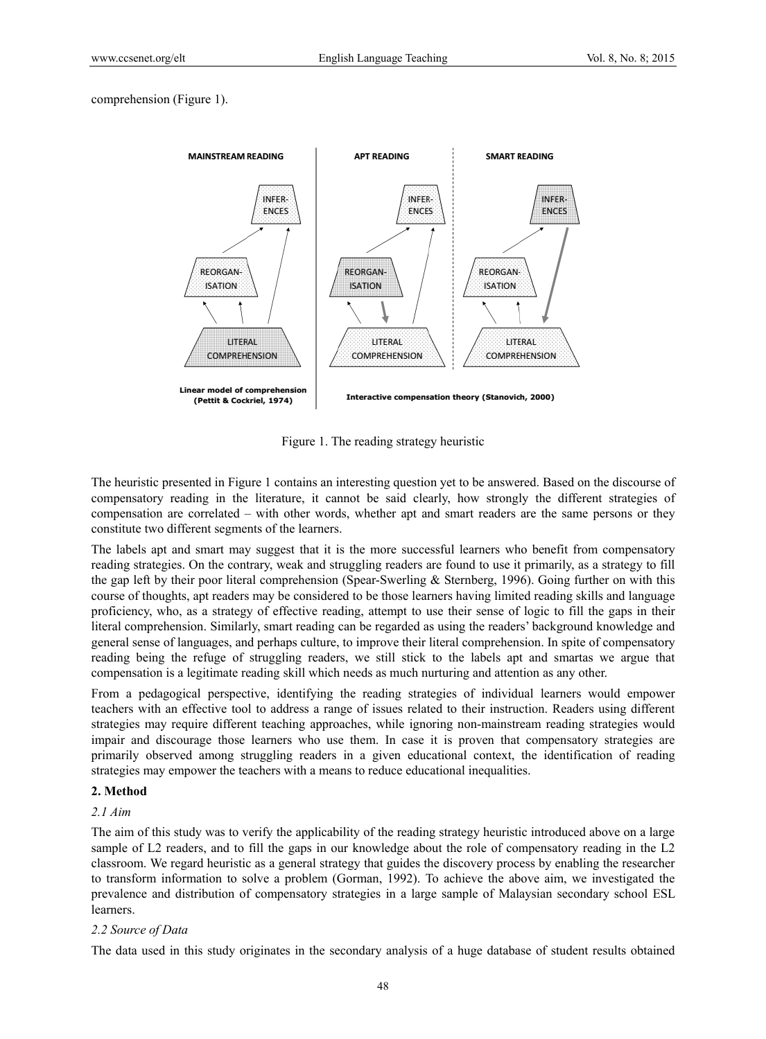#### comprehension (Figure 1).



Figure 1. The reading strategy heuristic

The heuristic presented in Figure 1 contains an interesting question yet to be answered. Based on the discourse of compensatory reading in the literature, it cannot be said clearly, how strongly the different strategies of compensation are correlated – with other words, whether apt and smart readers are the same persons or they constitute two different segments of the learners.

The labels apt and smart may suggest that it is the more successful learners who benefit from compensatory reading strategies. On the contrary, weak and struggling readers are found to use it primarily, as a strategy to fill the gap left by their poor literal comprehension (Spear-Swerling & Sternberg, 1996). Going further on with this course of thoughts, apt readers may be considered to be those learners having limited reading skills and language proficiency, who, as a strategy of effective reading, attempt to use their sense of logic to fill the gaps in their literal comprehension. Similarly, smart reading can be regarded as using the readers' background knowledge and general sense of languages, and perhaps culture, to improve their literal comprehension. In spite of compensatory reading being the refuge of struggling readers, we still stick to the labels apt and smartas we argue that compensation is a legitimate reading skill which needs as much nurturing and attention as any other.

From a pedagogical perspective, identifying the reading strategies of individual learners would empower teachers with an effective tool to address a range of issues related to their instruction. Readers using different strategies may require different teaching approaches, while ignoring non-mainstream reading strategies would impair and discourage those learners who use them. In case it is proven that compensatory strategies are primarily observed among struggling readers in a given educational context, the identification of reading strategies may empower the teachers with a means to reduce educational inequalities.

# **2. Method**

#### *2.1 Aim*

The aim of this study was to verify the applicability of the reading strategy heuristic introduced above on a large sample of L2 readers, and to fill the gaps in our knowledge about the role of compensatory reading in the L2 classroom. We regard heuristic as a general strategy that guides the discovery process by enabling the researcher to transform information to solve a problem (Gorman, 1992). To achieve the above aim, we investigated the prevalence and distribution of compensatory strategies in a large sample of Malaysian secondary school ESL learners.

#### *2.2 Source of Data*

The data used in this study originates in the secondary analysis of a huge database of student results obtained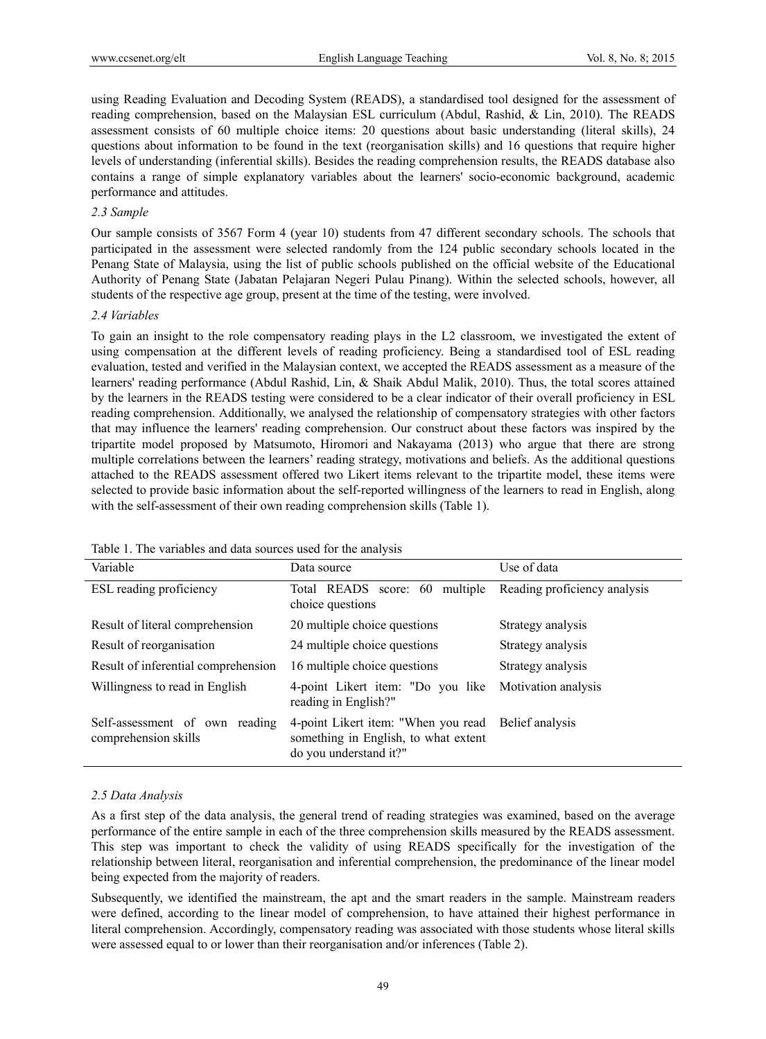using Reading Evaluation and Decoding System (READS), a standardised tool designed for the assessment of reading comprehension, based on the Malaysian ESL curriculum (Abdul, Rashid, & Lin, 2010). The READS assessment consists of 60 multiple choice items: 20 questions about basic understanding (literal skills), 24 questions about information to be found in the text (reorganisation skills) and 16 questions that require higher levels of understanding (inferential skills). Besides the reading comprehension results, the READS database also contains a range of simple explanatory variables about the learners' socio-economic background, academic performance and attitudes.

#### *2.3 Sample*

Our sample consists of 3567 Form 4 (year 10) students from 47 different secondary schools. The schools that participated in the assessment were selected randomly from the 124 public secondary schools located in the Penang State of Malaysia, using the list of public schools published on the official website of the Educational Authority of Penang State (Jabatan Pelajaran Negeri Pulau Pinang). Within the selected schools, however, all students of the respective age group, present at the time of the testing, were involved.

#### *2.4 Variables*

To gain an insight to the role compensatory reading plays in the L2 classroom, we investigated the extent of using compensation at the different levels of reading proficiency. Being a standardised tool of ESL reading evaluation, tested and verified in the Malaysian context, we accepted the READS assessment as a measure of the learners' reading performance (Abdul Rashid, Lin, & Shaik Abdul Malik, 2010). Thus, the total scores attained by the learners in the READS testing were considered to be a clear indicator of their overall proficiency in ESL reading comprehension. Additionally, we analysed the relationship of compensatory strategies with other factors that may influence the learners' reading comprehension. Our construct about these factors was inspired by the tripartite model proposed by Matsumoto, Hiromori and Nakayama (2013) who argue that there are strong multiple correlations between the learners' reading strategy, motivations and beliefs. As the additional questions attached to the READS assessment offered two Likert items relevant to the tripartite model, these items were selected to provide basic information about the self-reported willingness of the learners to read in English, along with the self-assessment of their own reading comprehension skills (Table 1).

| Variable                                                  | Data source                                                                                                           | Use of data                  |  |  |  |  |
|-----------------------------------------------------------|-----------------------------------------------------------------------------------------------------------------------|------------------------------|--|--|--|--|
| ESL reading proficiency                                   | multiple<br>READS score: 60<br>Total<br>choice questions                                                              | Reading proficiency analysis |  |  |  |  |
| Result of literal comprehension                           | 20 multiple choice questions                                                                                          | Strategy analysis            |  |  |  |  |
| Result of reorganisation                                  | 24 multiple choice questions                                                                                          | Strategy analysis            |  |  |  |  |
| Result of inferential comprehension                       | 16 multiple choice questions                                                                                          | Strategy analysis            |  |  |  |  |
| Willingness to read in English                            | 4-point Likert item: "Do you like<br>reading in English?"                                                             | Motivation analysis          |  |  |  |  |
| Self-assessment of own<br>reading<br>comprehension skills | 4-point Likert item: "When you read Belief analysis<br>something in English, to what extent<br>do you understand it?" |                              |  |  |  |  |

|  | Table 1. The variables and data sources used for the analysis |  |  |  |  |
|--|---------------------------------------------------------------|--|--|--|--|
|  |                                                               |  |  |  |  |

#### *2.5 Data Analysis*

As a first step of the data analysis, the general trend of reading strategies was examined, based on the average performance of the entire sample in each of the three comprehension skills measured by the READS assessment. This step was important to check the validity of using READS specifically for the investigation of the relationship between literal, reorganisation and inferential comprehension, the predominance of the linear model being expected from the majority of readers.

Subsequently, we identified the mainstream, the apt and the smart readers in the sample. Mainstream readers were defined, according to the linear model of comprehension, to have attained their highest performance in literal comprehension. Accordingly, compensatory reading was associated with those students whose literal skills were assessed equal to or lower than their reorganisation and/or inferences (Table 2).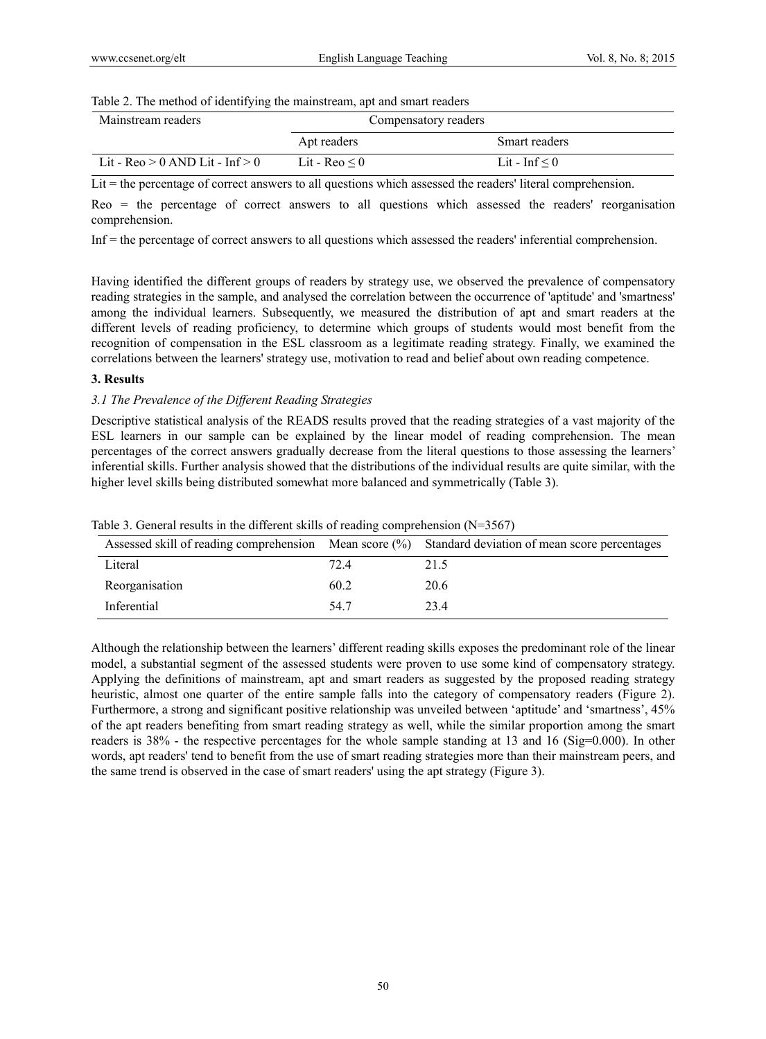#### Table 2. The method of identifying the mainstream, apt and smart readers

| Mainstream readers                         | Compensatory readers |                    |  |  |
|--------------------------------------------|----------------------|--------------------|--|--|
|                                            | Apt readers          | Smart readers      |  |  |
| Lit - $\text{Re}o > 0$ AND Lit - Inf $> 0$ | Lit - Reo $\leq 0$   | Lit - Inf $\leq 0$ |  |  |

Lit = the percentage of correct answers to all questions which assessed the readers' literal comprehension.

Reo = the percentage of correct answers to all questions which assessed the readers' reorganisation comprehension.

Inf = the percentage of correct answers to all questions which assessed the readers' inferential comprehension.

Having identified the different groups of readers by strategy use, we observed the prevalence of compensatory reading strategies in the sample, and analysed the correlation between the occurrence of 'aptitude' and 'smartness' among the individual learners. Subsequently, we measured the distribution of apt and smart readers at the different levels of reading proficiency, to determine which groups of students would most benefit from the recognition of compensation in the ESL classroom as a legitimate reading strategy. Finally, we examined the correlations between the learners' strategy use, motivation to read and belief about own reading competence.

#### **3. Results**

## *3.1 The Prevalence of the Different Reading Strategies*

Descriptive statistical analysis of the READS results proved that the reading strategies of a vast majority of the ESL learners in our sample can be explained by the linear model of reading comprehension. The mean percentages of the correct answers gradually decrease from the literal questions to those assessing the learners' inferential skills. Further analysis showed that the distributions of the individual results are quite similar, with the higher level skills being distributed somewhat more balanced and symmetrically (Table 3).

|                |      | Assessed skill of reading comprehension Mean score (%) Standard deviation of mean score percentages |
|----------------|------|-----------------------------------------------------------------------------------------------------|
| Literal        | 724  | 21.5                                                                                                |
| Reorganisation | 60.2 | 20.6                                                                                                |
| Inferential    | 54.7 | 23.4                                                                                                |

Table 3. General results in the different skills of reading comprehension  $(N=3567)$ 

Although the relationship between the learners' different reading skills exposes the predominant role of the linear model, a substantial segment of the assessed students were proven to use some kind of compensatory strategy. Applying the definitions of mainstream, apt and smart readers as suggested by the proposed reading strategy heuristic, almost one quarter of the entire sample falls into the category of compensatory readers (Figure 2). Furthermore, a strong and significant positive relationship was unveiled between 'aptitude' and 'smartness', 45% of the apt readers benefiting from smart reading strategy as well, while the similar proportion among the smart readers is 38% - the respective percentages for the whole sample standing at 13 and 16 (Sig=0.000). In other words, apt readers' tend to benefit from the use of smart reading strategies more than their mainstream peers, and the same trend is observed in the case of smart readers' using the apt strategy (Figure 3).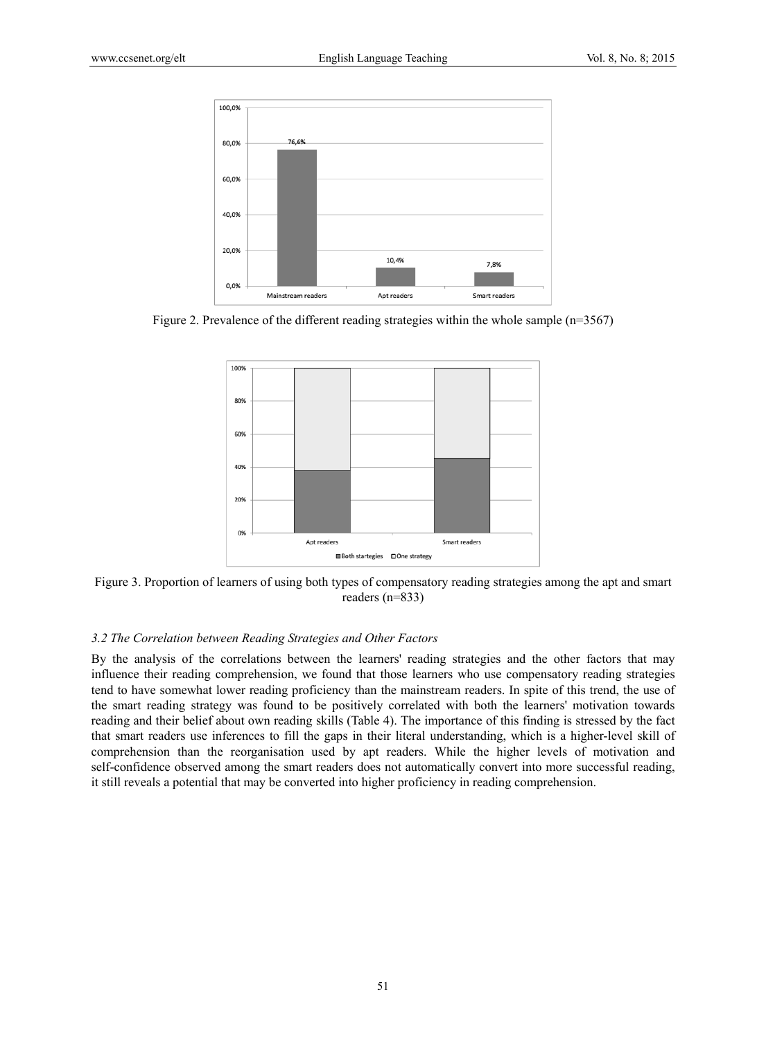

Figure 2. Prevalence of the different reading strategies within the whole sample (n=3567)



Figure 3. Proportion of learners of using both types of compensatory reading strategies among the apt and smart readers (n=833)

#### *3.2 The Correlation between Reading Strategies and Other Factors*

By the analysis of the correlations between the learners' reading strategies and the other factors that may influence their reading comprehension, we found that those learners who use compensatory reading strategies tend to have somewhat lower reading proficiency than the mainstream readers. In spite of this trend, the use of the smart reading strategy was found to be positively correlated with both the learners' motivation towards reading and their belief about own reading skills (Table 4). The importance of this finding is stressed by the fact that smart readers use inferences to fill the gaps in their literal understanding, which is a higher-level skill of comprehension than the reorganisation used by apt readers. While the higher levels of motivation and self-confidence observed among the smart readers does not automatically convert into more successful reading, it still reveals a potential that may be converted into higher proficiency in reading comprehension.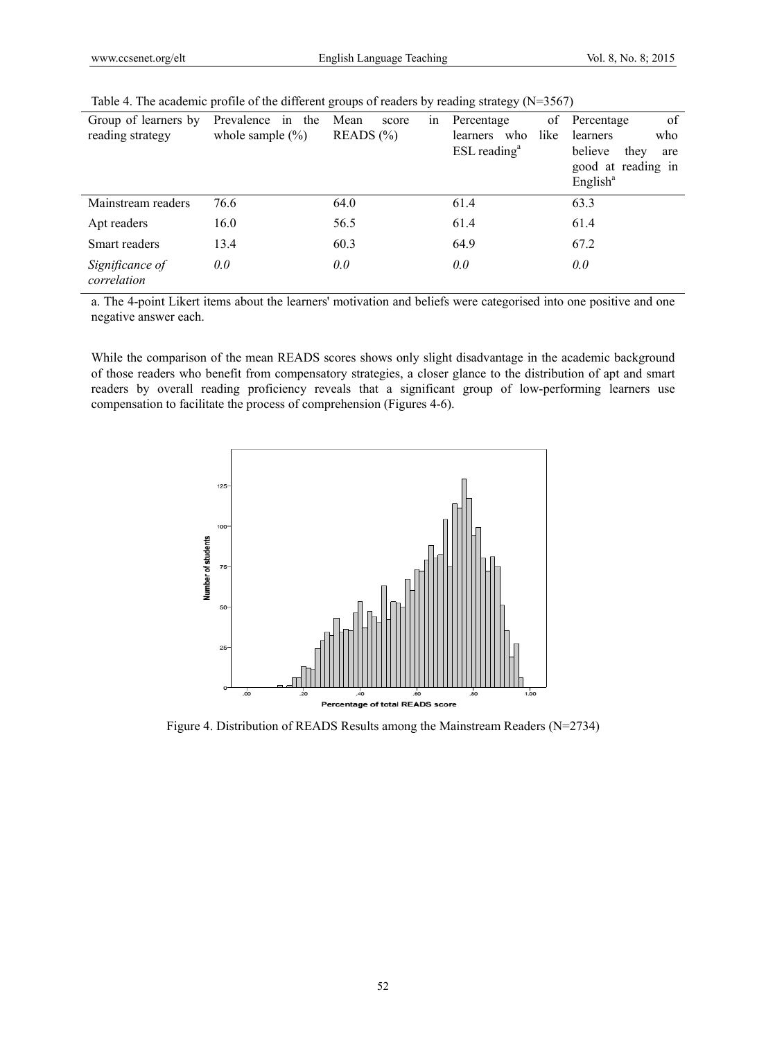| Group of learners by<br>reading strategy | Prevalence in the<br>whole sample $(\% )$ | Mean<br>score<br>1n<br>READS $(\% )$ | of<br>Percentage<br>like<br>who<br>learners | of<br>Percentage<br>who<br>learners                                  |
|------------------------------------------|-------------------------------------------|--------------------------------------|---------------------------------------------|----------------------------------------------------------------------|
|                                          |                                           |                                      | $ESL$ reading <sup>a</sup>                  | believe<br>they<br>are<br>good at reading in<br>English <sup>a</sup> |
| Mainstream readers                       | 76.6                                      | 64.0                                 | 61.4                                        | 63.3                                                                 |
| Apt readers                              | 16.0                                      | 56.5                                 | 61.4                                        | 61.4                                                                 |
| Smart readers                            | 13.4                                      | 60.3                                 | 64.9                                        | 67.2                                                                 |
| Significance of<br>correlation           | 0.0                                       | 0.0                                  | 0.0                                         | 0.0                                                                  |

Table 4. The academic profile of the different groups of readers by reading strategy (N=3567)

a. The 4-point Likert items about the learners' motivation and beliefs were categorised into one positive and one negative answer each.

While the comparison of the mean READS scores shows only slight disadvantage in the academic background of those readers who benefit from compensatory strategies, a closer glance to the distribution of apt and smart readers by overall reading proficiency reveals that a significant group of low-performing learners use compensation to facilitate the process of comprehension (Figures 4-6).



Figure 4. Distribution of READS Results among the Mainstream Readers (N=2734)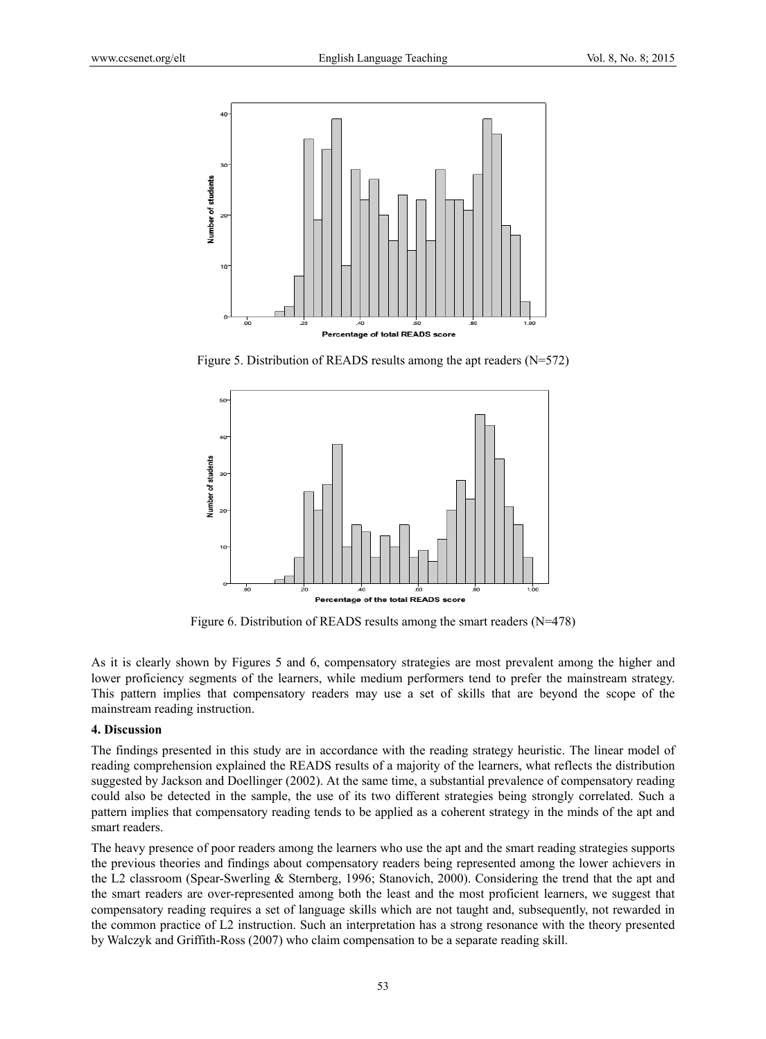

Figure 5. Distribution of READS results among the apt readers (N=572)



Figure 6. Distribution of READS results among the smart readers (N=478)

As it is clearly shown by Figures 5 and 6, compensatory strategies are most prevalent among the higher and lower proficiency segments of the learners, while medium performers tend to prefer the mainstream strategy. This pattern implies that compensatory readers may use a set of skills that are beyond the scope of the mainstream reading instruction.

#### **4. Discussion**

The findings presented in this study are in accordance with the reading strategy heuristic. The linear model of reading comprehension explained the READS results of a majority of the learners, what reflects the distribution suggested by Jackson and Doellinger (2002). At the same time, a substantial prevalence of compensatory reading could also be detected in the sample, the use of its two different strategies being strongly correlated. Such a pattern implies that compensatory reading tends to be applied as a coherent strategy in the minds of the apt and smart readers.

The heavy presence of poor readers among the learners who use the apt and the smart reading strategies supports the previous theories and findings about compensatory readers being represented among the lower achievers in the L2 classroom (Spear-Swerling & Sternberg, 1996; Stanovich, 2000). Considering the trend that the apt and the smart readers are over-represented among both the least and the most proficient learners, we suggest that compensatory reading requires a set of language skills which are not taught and, subsequently, not rewarded in the common practice of L2 instruction. Such an interpretation has a strong resonance with the theory presented by Walczyk and Griffith-Ross (2007) who claim compensation to be a separate reading skill.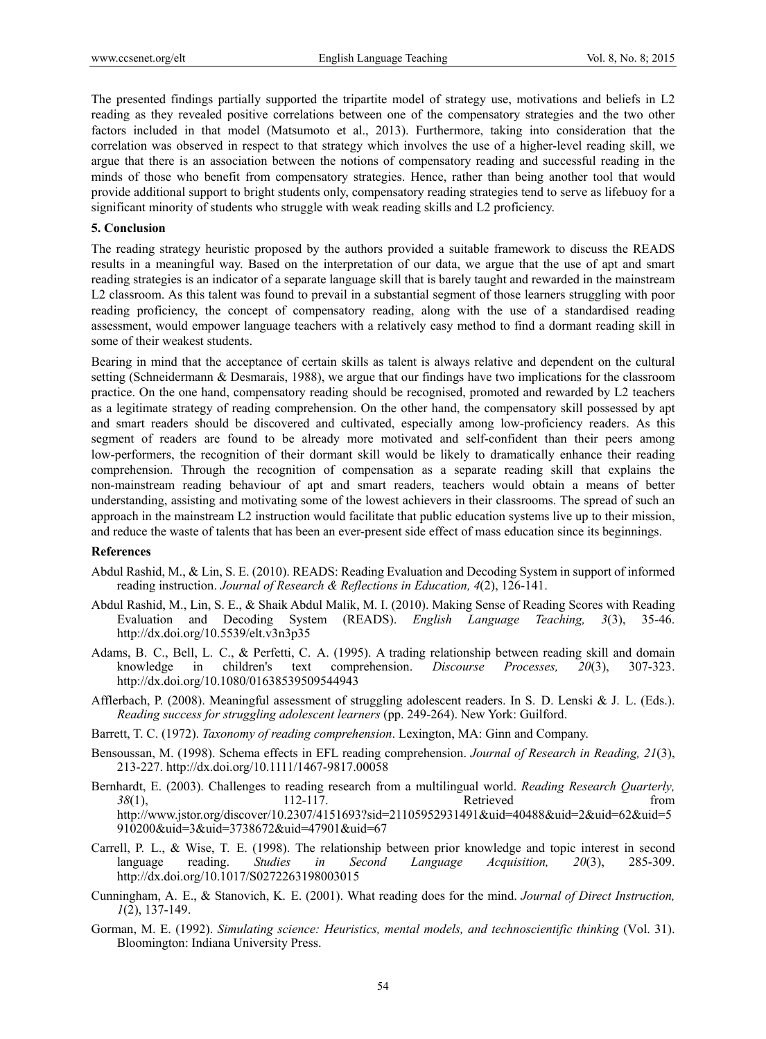The presented findings partially supported the tripartite model of strategy use, motivations and beliefs in L2 reading as they revealed positive correlations between one of the compensatory strategies and the two other factors included in that model (Matsumoto et al., 2013). Furthermore, taking into consideration that the correlation was observed in respect to that strategy which involves the use of a higher-level reading skill, we argue that there is an association between the notions of compensatory reading and successful reading in the minds of those who benefit from compensatory strategies. Hence, rather than being another tool that would provide additional support to bright students only, compensatory reading strategies tend to serve as lifebuoy for a significant minority of students who struggle with weak reading skills and L2 proficiency.

#### **5. Conclusion**

The reading strategy heuristic proposed by the authors provided a suitable framework to discuss the READS results in a meaningful way. Based on the interpretation of our data, we argue that the use of apt and smart reading strategies is an indicator of a separate language skill that is barely taught and rewarded in the mainstream L2 classroom. As this talent was found to prevail in a substantial segment of those learners struggling with poor reading proficiency, the concept of compensatory reading, along with the use of a standardised reading assessment, would empower language teachers with a relatively easy method to find a dormant reading skill in some of their weakest students.

Bearing in mind that the acceptance of certain skills as talent is always relative and dependent on the cultural setting (Schneidermann & Desmarais, 1988), we argue that our findings have two implications for the classroom practice. On the one hand, compensatory reading should be recognised, promoted and rewarded by L2 teachers as a legitimate strategy of reading comprehension. On the other hand, the compensatory skill possessed by apt and smart readers should be discovered and cultivated, especially among low-proficiency readers. As this segment of readers are found to be already more motivated and self-confident than their peers among low-performers, the recognition of their dormant skill would be likely to dramatically enhance their reading comprehension. Through the recognition of compensation as a separate reading skill that explains the non-mainstream reading behaviour of apt and smart readers, teachers would obtain a means of better understanding, assisting and motivating some of the lowest achievers in their classrooms. The spread of such an approach in the mainstream L2 instruction would facilitate that public education systems live up to their mission, and reduce the waste of talents that has been an ever-present side effect of mass education since its beginnings.

#### **References**

- Abdul Rashid, M., & Lin, S. E. (2010). READS: Reading Evaluation and Decoding System in support of informed reading instruction. *Journal of Research & Reflections in Education, 4*(2), 126-141.
- Abdul Rashid, M., Lin, S. E., & Shaik Abdul Malik, M. I. (2010). Making Sense of Reading Scores with Reading Evaluation and Decoding System (READS). *English Language Teaching, 3*(3), 35-46. http://dx.doi.org/10.5539/elt.v3n3p35
- Adams, B. C., Bell, L. C., & Perfetti, C. A. (1995). A trading relationship between reading skill and domain knowledge in children's text comprehension. *Discourse Processes, 20*(3), 307-323. http://dx.doi.org/10.1080/01638539509544943
- Afflerbach, P. (2008). Meaningful assessment of struggling adolescent readers. In S. D. Lenski & J. L. (Eds.). *Reading success for struggling adolescent learners* (pp. 249-264). New York: Guilford.
- Barrett, T. C. (1972). *Taxonomy of reading comprehension*. Lexington, MA: Ginn and Company.
- Bensoussan, M. (1998). Schema effects in EFL reading comprehension. *Journal of Research in Reading, 21*(3), 213-227. http://dx.doi.org/10.1111/1467-9817.00058
- Bernhardt, E. (2003). Challenges to reading research from a multilingual world. *Reading Research Quarterly,* **38(1)**, 112-117. Retrieved from http://www.jstor.org/discover/10.2307/4151693?sid=21105952931491&uid=40488&uid=2&uid=62&uid=5 910200&uid=3&uid=3738672&uid=47901&uid=67
- Carrell, P. L., & Wise, T. E. (1998). The relationship between prior knowledge and topic interest in second language reading. *Studies in Second Language Acquisition, 20*(3), 285-309. http://dx.doi.org/10.1017/S0272263198003015
- Cunningham, A. E., & Stanovich, K. E. (2001). What reading does for the mind. *Journal of Direct Instruction, 1*(2), 137-149.
- Gorman, M. E. (1992). *Simulating science: Heuristics, mental models, and technoscientific thinking* (Vol. 31). Bloomington: Indiana University Press.